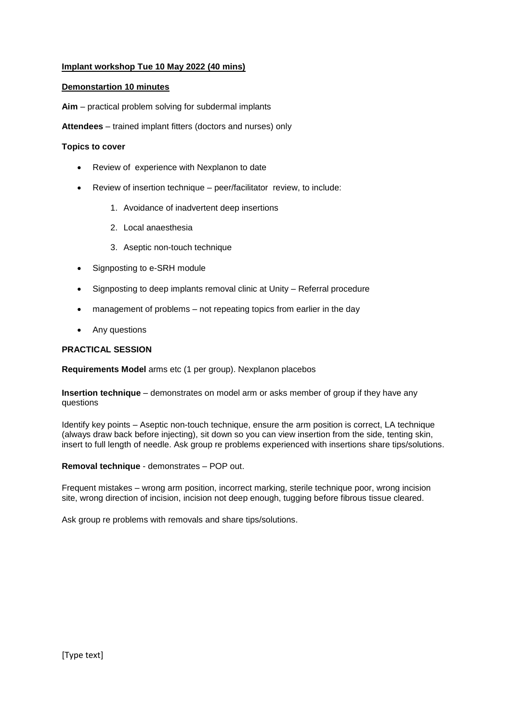# **Implant workshop Tue 10 May 2022 (40 mins)**

### **Demonstartion 10 minutes**

**Aim** – practical problem solving for subdermal implants

**Attendees** – trained implant fitters (doctors and nurses) only

#### **Topics to cover**

- Review of experience with Nexplanon to date
- Review of insertion technique peer/facilitator review, to include:
	- 1. Avoidance of inadvertent deep insertions
	- 2. Local anaesthesia
	- 3. Aseptic non-touch technique
- Signposting to e-SRH module
- Signposting to deep implants removal clinic at Unity Referral procedure
- management of problems not repeating topics from earlier in the day
- Any questions

## **PRACTICAL SESSION**

**Requirements Model** arms etc (1 per group). Nexplanon placebos

**Insertion technique** – demonstrates on model arm or asks member of group if they have any questions

Identify key points – Aseptic non-touch technique, ensure the arm position is correct, LA technique (always draw back before injecting), sit down so you can view insertion from the side, tenting skin, insert to full length of needle. Ask group re problems experienced with insertions share tips/solutions.

**Removal technique** - demonstrates – POP out.

Frequent mistakes – wrong arm position, incorrect marking, sterile technique poor, wrong incision site, wrong direction of incision, incision not deep enough, tugging before fibrous tissue cleared.

Ask group re problems with removals and share tips/solutions.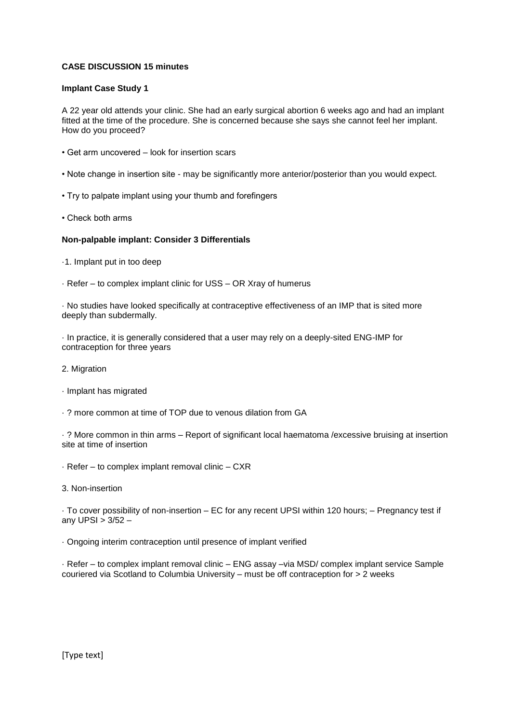# **CASE DISCUSSION 15 minutes**

### **Implant Case Study 1**

A 22 year old attends your clinic. She had an early surgical abortion 6 weeks ago and had an implant fitted at the time of the procedure. She is concerned because she says she cannot feel her implant. How do you proceed?

- Get arm uncovered look for insertion scars
- Note change in insertion site may be significantly more anterior/posterior than you would expect.
- Try to palpate implant using your thumb and forefingers
- Check both arms

## **Non-palpable implant: Consider 3 Differentials**

- ·1. Implant put in too deep
- · Refer to complex implant clinic for USS OR Xray of humerus

· No studies have looked specifically at contraceptive effectiveness of an IMP that is sited more deeply than subdermally.

· In practice, it is generally considered that a user may rely on a deeply-sited ENG-IMP for contraception for three years

- 2. Migration
- · Implant has migrated
- · ? more common at time of TOP due to venous dilation from GA

· ? More common in thin arms – Report of significant local haematoma /excessive bruising at insertion site at time of insertion

- · Refer to complex implant removal clinic CXR
- 3. Non-insertion

· To cover possibility of non-insertion – EC for any recent UPSI within 120 hours; – Pregnancy test if any UPSI > 3/52 –

· Ongoing interim contraception until presence of implant verified

· Refer – to complex implant removal clinic – ENG assay –via MSD/ complex implant service Sample couriered via Scotland to Columbia University – must be off contraception for > 2 weeks